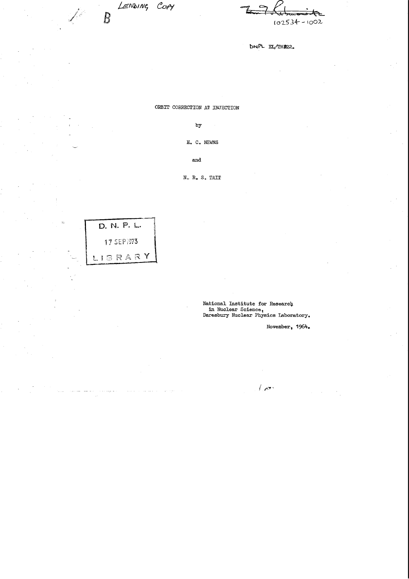LENDING COPY  $\overline{B}$ 

 $102534 - 1002$ 

DNPL EL/TMP22.

ORBIT CORRECTION AT INJECTION

by

 $H_$ . C. NEWNS

 $\mathbf{and}$ 

 $N. R_* S_* TATT$ 



¥

National Institute for Research in Nuclear Science,<br>Daresbury Nuclear Physics Laboratory.

 $\int_{\mathbb{R}^d} g(\overline{\mathbf{x}})$ 

November, 1964.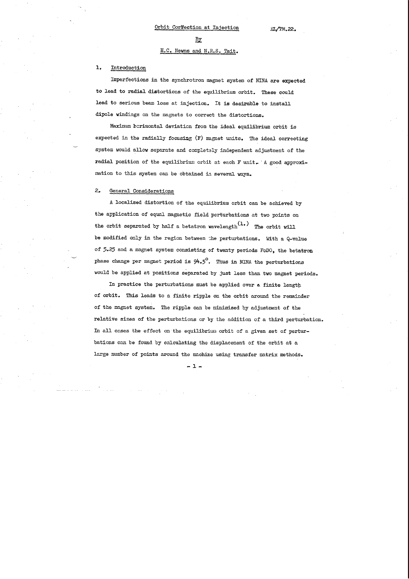### $\mathbf{E} \mathbf{y}$

## H.C. Newns and N,R,S, Tait.

# l, Introduction

Imperfections in the synchrotron magnet system of NINA are expected to lead to radial distortions of the equilibrium orbit. These could lead to serious beam loss at injection. It is desirable to install dipole windings on the magnets to correct the distortions.

Maximum borizontal deviation from the ideal equilibrium orbit is expected in the radially focusing (F) magnet units. The ideal correcting system would allow separate and completely independent adjustment of the radial position of the equilibrium orbit at each F unit. A good approximation to this system can be obtained in several ways.

#### $\mathsf{L}_{\bullet}$ General Considerations

A localised distortion of the equilibrium orbit can be achieved by the application of equal magnetic field perturbations at two points on the orbit separated by half a betatron wavelength $(1, 1)$  The orbit will be modified only in the region between the perturbations. With a Q-vclue of 5.25 and a magnet system consisting of twenty periods FoDO, the betatron phase change per magnet period is  $94.5^\circ$ . Thus in NINA the perturbations would be applied at positions separated by just less than two magnet periods.

In practice the perturbations must be applied over & finite length of orbit. This leads to a finite ripple on the orbit around the remainder of the magnet system. The ripple can be minimised by adjustment of the relative sizes of the perturbations or by the addition of a third perturbation. In all cases the effect on the equilibrium orbit of a given set of perturbations can be found by calculating the displacement of the orbit at a large number of points around the machine using transfer matrix methods.

 $-1-$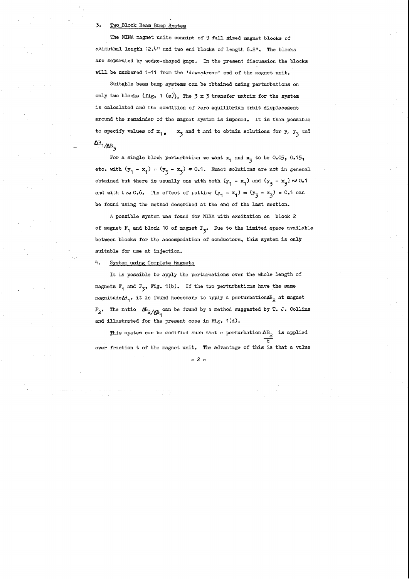### 3. Two Block Beam Bwnp System

The NINA magnet units consist of 9 full sized magnet blocks of azimuthal length 12,4" and two end blocks of length 6.2". The blocks are separated by wedge-shaped gaps. In the present discussion the blocks will be numbered 1-11 from the 'downstream' end of the magnet unit,

Suitable beam bump systems can be obtained using perturbations on only two blocks (fig. 1 (a)). The  $3 \times 3$  transfer matrix for the system is calculated and the condition of zero equilibrium orbit displacement around the remainder of the magnet system is imposed. It is then possible to specify values of  $x_1$ ,  $x_2$  and t and to obtain solutions for  $y_1$   $y_3$  and  $\frac{1}{\sqrt{\Delta B_z}}$ 

For a single block perturbation we want  $x_1$  and  $x_5$  to be 0.05, 0.15, etc. with  $(y_1 - x_1) = (y_3 - x_3) \neq 0.1$ . Exact solutions are not in general obtained but there is usually one with both  $(y_1 - x_1)$  and  $(y_3 - x_3) \sim 0.1$ and with  $t \sim 0.6$ . The effect of putting  $(y_1 - x_1) = (y_3 - x_3) = 0.1$  can be found using the method described at the end of the last section.

This system can be modified such that a perturbation  $\Delta B_2$  is applied T, over fraction t of the magnet unit. The advantage of this is that a value

A possible system was found for NINA with excitation on block 2 of magnet  $F_1$  and block 10 of magnet  $F_3$ • Due to the limited space available between blocks for the accommodation of conductors, this system is only suitable for use at injection.

4. System using Complete Magnets

It is possible to apply the perturbations over the whole length of magnets  $F_1$  and  $F_2$ , Fig. 1(b). If the two perturbations have the same magnitude $\Phi_1$ , it is found necessary to apply a perturbation  $B_2$  at magnet  $F_2$ • The ratio  $\Delta B_2/\Delta B_1$  can be found by a method suggested by T. J. Collins and illustrated for the present case in Fig. 1(d).

- 2 -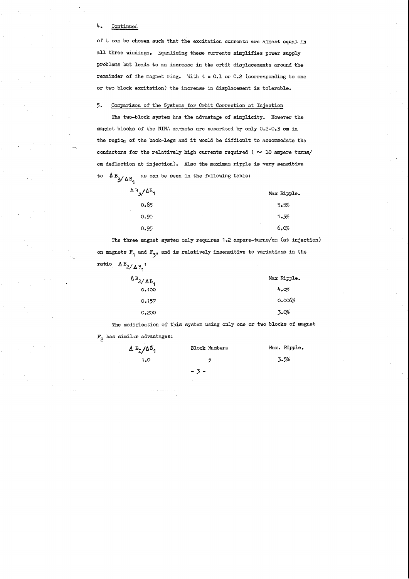# 4. Continued

of t can be chosen such that the excitation currents are almost equal in all three windings. Equalising these currents simplifies power supply problems but leads to an increase in the orbit displacements around the remainder of the magnet ring. With  $t = 0.1$  or 0.2 (corresponding to one or two block excitation) the increase in displacement is tolerable.

### 5. Comparison of the Systems for Orbit Correction at Injection

The two-block system has the advantage of simplicity. However the magnet blocks of the NINA magnets are separated by only 0.2-0.3 em in the region of the back-legs and it would be difficult to accommodate the conductors for the relatively high currents required ( $\sim$  10 ampere turns/ em deflection at injection). Also the maximum ripple is very sensitive to  $\Delta B_{\gamma}$  as can be seen in the following table:

The modification of this system using only one or two blocks of magnet  $F_2$  has similar advantages:

| $\Delta$ B <sub>3</sub> / $\Delta$ <sup>B</sup> <sub>1</sub> | Max Ripple.     |
|--------------------------------------------------------------|-----------------|
| 0.85                                                         | 5.5%            |
| 0.90                                                         | 1.5%            |
| 0.95                                                         | $\cdot$<br>6.0% |

The three magnet system only requires 1.2 ampere-turns/cm (at injection) on magnets  $F_1$  and  $F_3$ , and is relatively insensitive to variations in the ratio  $\Delta B_2/\Delta B_1$ :

| $\Delta B_2/\Delta B_1$ | Max Ripple. |
|-------------------------|-------------|
| 0.100                   | 4.0%        |
| 0.157                   | 0.006%      |
| 0,200                   | 3.0%        |

| $\Delta B_2/\Delta B_1$ | <b>Block Numbers</b> | Max. Ripple. |
|-------------------------|----------------------|--------------|
| 1.0                     | 5                    | 3.5%         |
|                         | $-3-$                |              |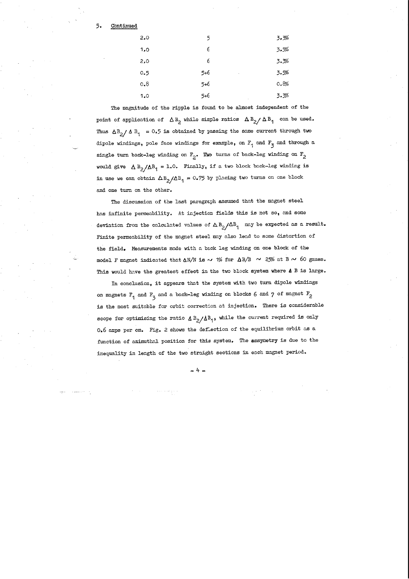5. Continued

| 2.0  | 5                     | 3.3%            |
|------|-----------------------|-----------------|
| 1,0  | 6                     | 3.5%            |
| 2,0  | 6                     | 3.3%            |
| 0.5  | $5 + 6$<br>$\epsilon$ | 3.5%            |
| 0, 8 | 5+6                   | 0.8%            |
| 1.0  | 5+6                   | 3.3%<br>$\cdot$ |

The discussion of the last paragraph assumed that the magnet steel hns infinite permeability. At injection fields this is not so, and some deviation from the calculated values of  $\Delta B_2/\Delta B_1$  may be expected as a result. Finite permeability of the magnet steel may also lend to some distortion of the field, Measurements made with a back leg winding on one block of the model F magnet indicated that  $\Delta N/N$  is  $\sim$  1% for  $\Delta B/B$   $\sim$  25% at B  $\sim$  60 gauss. This would have the greatest effect in the two block system where **A B** is large.

The magnitude of the ripple is found to be almost independent of the point of application of  $\Delta B_2$  while simple ratios  $\Delta B_2/\Delta B_1$  can be used. Thus  $\Delta B_2/\Delta B_1 = 0.5$  is obtained by passing the same current through two dipole windings, pole face windings for example, on  $F_1$  and  $F_3$  and through a single turn back-leg winding on  $F_2$ • Two turns of back-leg winding on  $F_2$ would give  $\Delta B_2/\Delta B_1 = 1.0$ . Finally, if a two block back-leg winding is in use we can obtain  $\Delta B_2/\Delta B_1 = 0.75$  by placing two turns on one block and one turn on the other.

In conclusion, it appears thnt the system with two turn dipole windings on magnets  $F_1$  and  $F_3$  and a back-leg winding on blocks 6 and 7 of magnet  $F_2$ is the most suitable for orbit correction at injection, There is considerable scope for optimising the ratio  $\Delta B_2/\Delta B_1$ , while the current required is only 0,6 amps per em. Fig, 2 shows the deflection of the equilibrium orbit as a function of azimuthal position for this system. The assymetry is due to the inequality in length of the two straight sections in each magnet period.

- 4-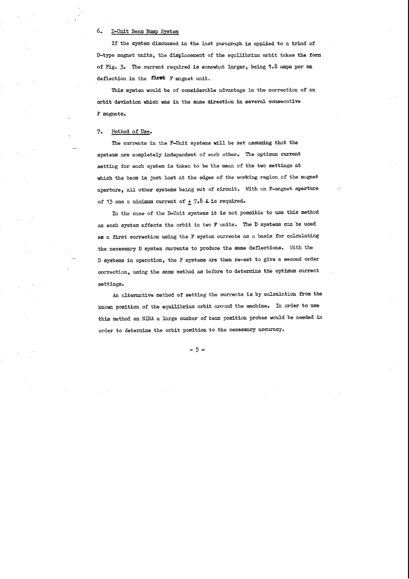# 6. D-Unit Beam Bump System

If the system discussed in the last paragraph is applied to a triad of D-type magnet units, the displacement of the equilibrium orbit takes the form of Fig. 3. The current required is somewhat larger, being 1.8 amps per cm deflection in the first F magnet unit.

This system would be of considerable advantage in the correction of an orbit deviation which was in the same direction in several consecutive F magnets.

## 7. Hethod of Use.

The currents in the F-Unit systems will be set assuming that the systems are completely independent of each other. The optimum current setting for each system is taken to be the mean of the two settings at which the beam is just lost at the edges of the working region of the magnet aperture, all other systems being out of circuit. With an F-magnet aperture of 13 cms a minimum current of  $\pm$  7.8 A is required.

An alternative method of setting the currents is by calculation from the known position of the equilibrium orbit around the machine, In order to use this method on NINA a large number of beam position probes would be needed in order to determine the orbit position to the necessary accuracy.

In the case of the D-Unit systems it is not possible to use this method as each system affects the orbit in two F units. The D systems can be used as a first correction using the F system currents as a basis for calculating the necessary D system currents to produce the same deflections, \'lith the D systems in operation, the F systems are then re-set to give a second order correction, using the same method as before to determine the optimum current **settings.** 

- 5-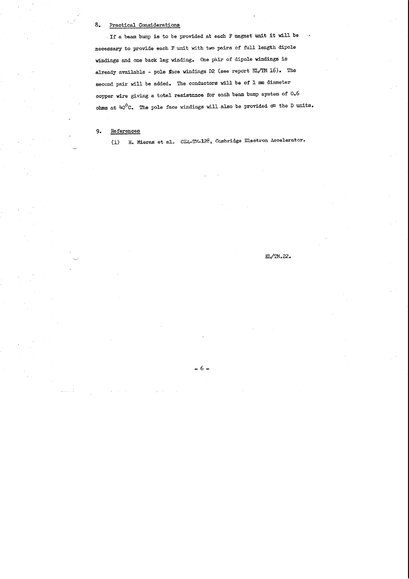### 8. Practical Considerations

, If a beam bump is to be provided at each F magnet unit it will be necessary to provide each F unit with two pairs of full length dipole windings and one back leg winding. One pair of dipole windings is already available - pole face windings D2 (see report EL/TM  $16$ ). The second pair will be added. The conductors will be of 1 mm diameter copper wire giving a total resistance for each beam bump system of 0.6 ohms at  $40^{\circ}$ C. The pole face windings will also be provided  $\sigma$ <sup>1</sup> the D units.

9. References

(1) H. Mieras et al. CEA-TM-128, Cambridge Electron Accelerator.

## EL/TM.22.

- 6-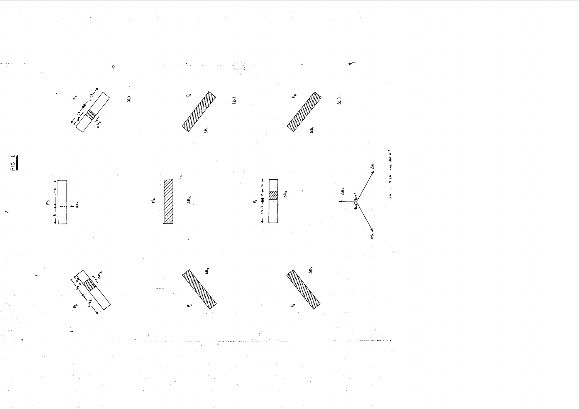

 $\ddot{a}$ 



 $Fig. 1$ 





 $w^{(1)}$ 

 $\hat{\omega}$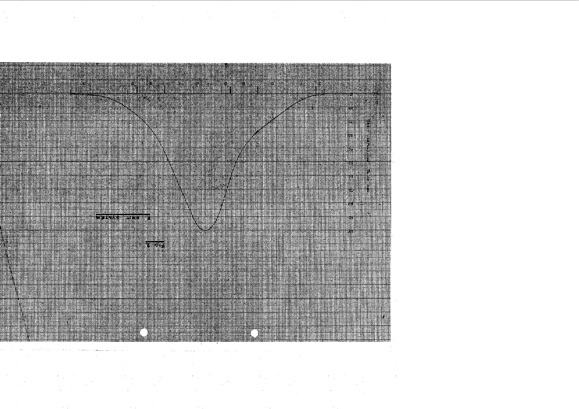